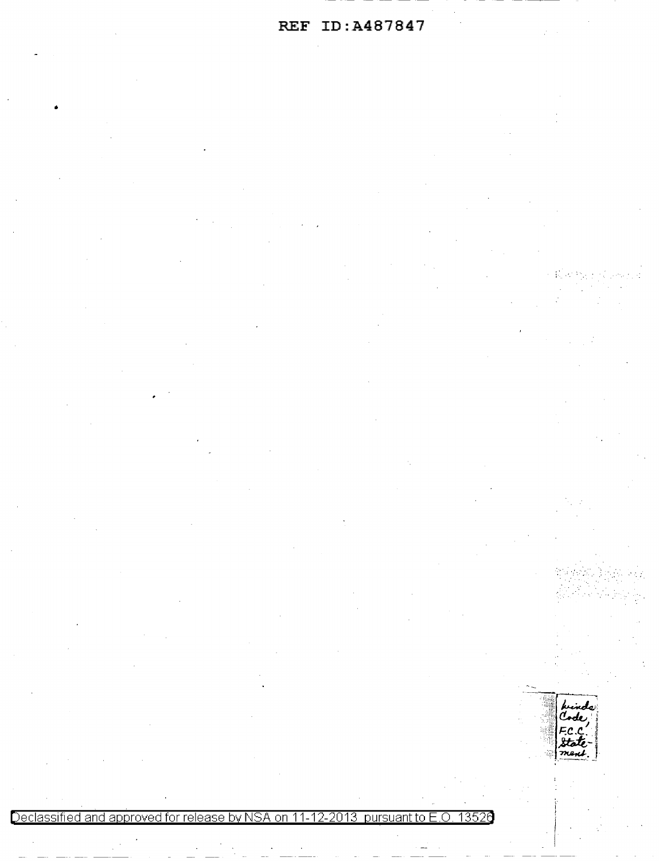# REF ID:A487847

Code state<br>ment

Declassified and approved for release by NSA on 11-12-2013 pursuant to E.O. 13520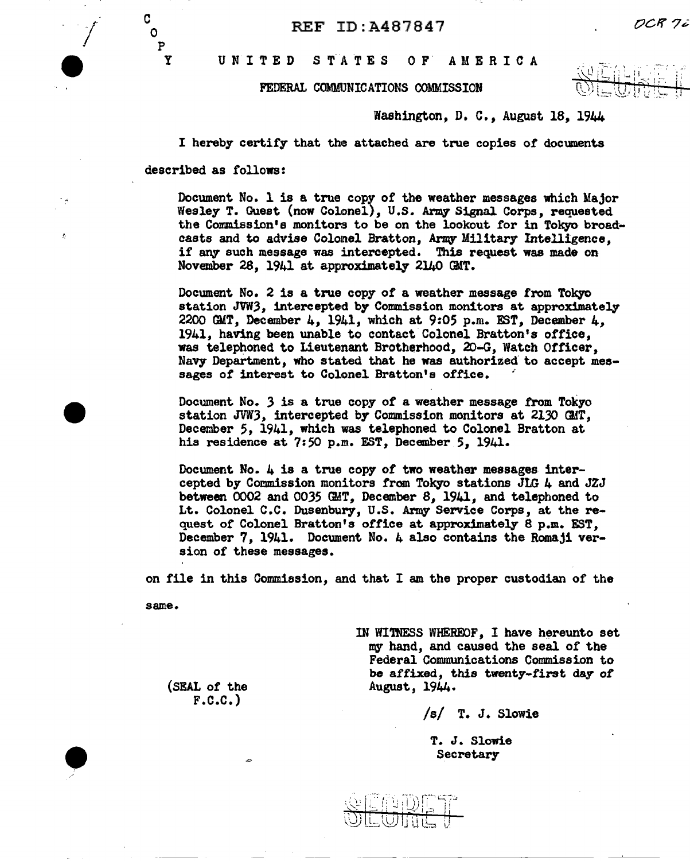UNITED STATES OF AMERICA

#### FEDERAL COMMUNICATIONS COMMISSION

Washington, D. C., August 18, 1944

I hereby certify that the attached are true copies of documents

described as follows:

c 0 p y

ś

Document No. 1 is a true copy of the weather messages which Major Wesley T. Guest (now Colonel), U.S. *Arrq* Signal Corps, requested the Commission's monitors to be on the lookout for in Tokyo broad• casts and to advise Colomel Bratton, Army Military Intelligence, if any such message was intercepted. This request was made on November 28, 1941 at approximately 2140 GMT.

Document No. 2 is a true copy of a weather message from Tokyo station JVW3, intercepted by Commission monitors at approximately 2200 GMT, December 4, 1941, which at 9:05 p.m. EST, December  $4$ , 1941, having been unable to contact Colonel Bratton's office, was telephoned to Lieutenant Brotherhood, 20-G. Watch Officer, Navy Department, who stated that he was authorized to accept messages of interest to Colonel Bratton's office.

Document No. 3 is a true copy *ot* a weather message from Tokyo station JVW3, intercepted by Commission monitors at 2130 GMT, December 5, 1941, which was telephoned to Colonel Bratton at his residence at 7:50 p.m. EST, December 5, 1941.

Document No. 4 is a true copy of two weather messages intercepted by Commission monitors from Tokyo stations JLG  $4$  and JZJ between 0002 and 0035 GMT, December 8, 1941, and telephoned to Lt. Colonel C.C. Dusenbury, U.S. Army- Service Corps, at the request of Colonel Bratton's office at approximately 8 p.m. EST, December 7, 1941. Document No. 4 also contains the Romaji version of these messages.

on file in this Commission, and that I am the proper custodian of the

same.

(SEAL of the  $F.C.C.$ 

 $\sim$ 

IN WITNESS WHEREOF, I have hereunto set my hand, and caused the seal of the Federal Communications Commission to be affixed, this twenty-first day of August, 1944.

/s/ T. J. Slowie

T. J. Slowie Secretary



DCR 7i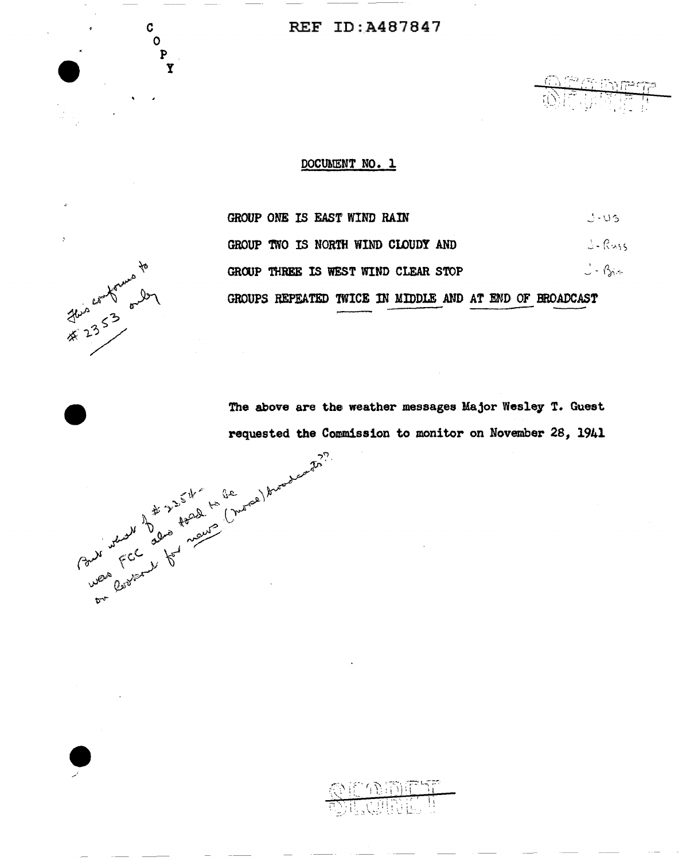## REF ID:A487847

*:i>:* I :~; i :cc~ ;-.>:: .1r.~ ':T'  $\mathcal{F} = \{ \mathcal{F}_i \mid i=1,2, \ldots \}$ 

## DOCUMENT NO. 1

**RAD** 

| GROUP ONE IS EAST WIND RAIN                             | - 195     |
|---------------------------------------------------------|-----------|
| GROUP TWO IS NORTH WIND CLOUDY AND                      | J-Russ    |
| GROUP THREE IS WEST WIND CLEAR STOP                     | $  \beta$ |
| GROUPS REPEATED TWICE IN MIDDLE AND AT END OF BROADCAST |           |

this comptants to

c 0 p

 $\begin{picture}(180,170) \put(0,0){\line(1,0){155}} \put(150,17){\line(1,0){155}} \put(150,17){\line(1,0){155}} \put(150,17){\line(1,0){155}} \put(150,17){\line(1,0){155}} \put(150,17){\line(1,0){155}} \put(150,17){\line(1,0){155}} \put(150,17){\line(1,0){155}} \put(150,17){\line(1,0){155}} \put(150,17){\line(1,0){155}}$ 

The above are the weather messages Major Wesley T. Guest<br>requested the Commission to monitor on November 28, 1941<br> $\frac{1}{2}$ <br> $\frac{1}{2}$ <br> $\frac{1}{2}$ <br> $\frac{1}{2}$ <br> $\frac{1}{2}$ <br> $\frac{1}{2}$ <br> $\frac{1}{2}$ <br> $\frac{1}{2}$ <br> $\frac{1}{2}$ <br> $\frac{1}{2}$ <br> $\frac{1}{2}$ requested the Commission to monitor on November 28, 1941

 $\mathcal{O}$  if  $\Omega$  in the  $T$ ;M':,r·~,', ~: ,'; \~,·\_~::~! ~~--~~'. i: ... \_, l \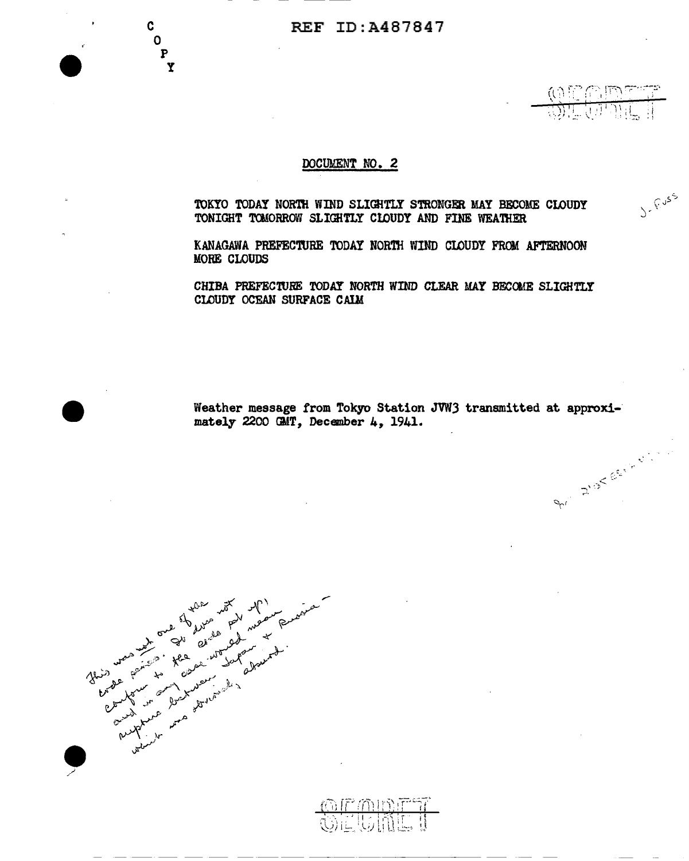## DOCUMENT NO. 2

TOKYO TODAY NORTH WIND SLIGHTLY STRONGER MAY BECOME CLOUDY TONIGHT TOMORROW SLIGHTLY CLOUDY AND FINE WEATHER

 $(0$  if  $C$  me  $\tau$  $\cdot$  )  $\cdot$ 아카 눈 V.에 기미(5m) ::1

-1. *p*. *p*. *e.e.* 

 $\ddot{\phantom{0}}$ 

J- F.USS

KANAGAWA PREFECTURE TODAY NORTH WIND CLOUDY FROM AFTERNOON MORE CLOUDS

CHIBA PREFECTURE TODAY NORTH WIND CLEAR MAY BFCOME SLIGHTLY CLOUDY OCEAN SURFACE CAIM

Weather message from Tokyo Station JVW3 transmitted at approximately 2200 GMT, December 4, 1941.

the human is *\_/* 

•

c 0 p y

------------------- -- -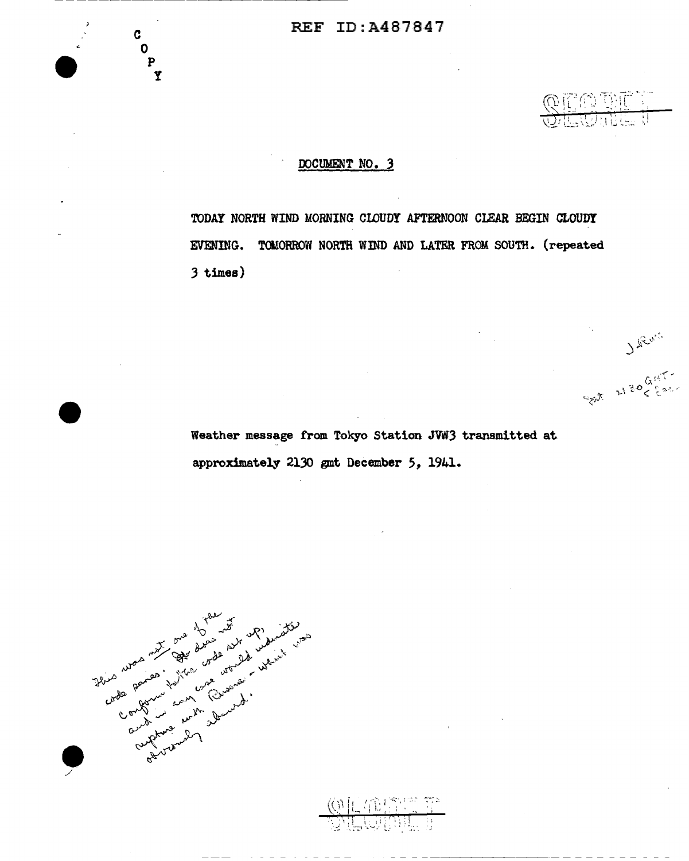

Sat 2130 Gallery

## OOCUMENT NO. 3

TODAY NORTH WIND MORNING CLOUDY AFTERNOON CLEAR BEGIN CLOUDY EVENING. TOMORROW NORTH WIND AND LATER FROM SOUTH. (repeated 3 times)

Weather message from Tokyo Station JVN3 transmitted at approximately 2130 gmt December 5, 1941 •

(中国)

This was my to de de la district de la distribución de la distribución de la distribución de la distribución d<br>Composition de la distribución de la distribución de la distribución de la distribución de la distribución de<br>C

c 0

y

 $\begin{matrix}\n\bullet \\
\bullet \\
\bullet \\
\bullet \\
\bullet\n\end{matrix}$